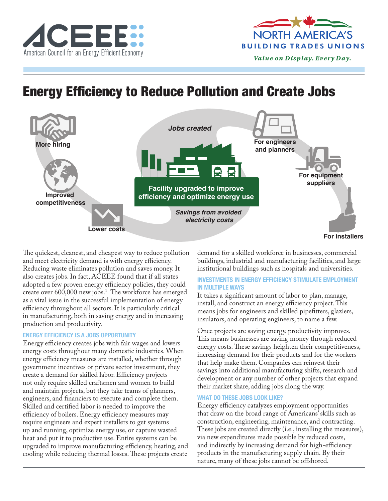



# Energy Efficiency to Reduce Pollution and Create Jobs



The quickest, cleanest, and cheapest way to reduce pollution and meet electricity demand is with energy efficiency. Reducing waste eliminates pollution and saves money. It also creates jobs. In fact, ACEEE found that if all states adopted a few proven energy efficiency policies, they could create over 600,000 new jobs.1 The workforce has emerged as a vital issue in the successful implementation of energy efficiency throughout all sectors. It is particularly critical in manufacturing, both in saving energy and in increasing production and productivity.

### **ENERGY EFFICIENCY IS A JOBS OPPORTUNITY**

Energy efficiency creates jobs with fair wages and lowers energy costs throughout many domestic industries. When energy efficiency measures are installed, whether through government incentives or private sector investment, they create a demand for skilled labor. Efficiency projects not only require skilled craftsmen and women to build and maintain projects, but they take teams of planners, engineers, and financiers to execute and complete them. Skilled and certified labor is needed to improve the efficiency of boilers. Energy efficiency measures may require engineers and expert installers to get systems up and running, optimize energy use, or capture wasted heat and put it to productive use. Entire systems can be upgraded to improve manufacturing efficiency, heating, and cooling while reducing thermal losses. These projects create

demand for a skilled workforce in businesses, commercial buildings, industrial and manufacturing facilities, and large institutional buildings such as hospitals and universities.

#### **INVESTMENTS IN ENERGY EFFICIENCY STIMULATE EMPLOYMENT IN MULTIPLE WAYS**

It takes a significant amount of labor to plan, manage, install, and construct an energy efficiency project. This means jobs for engineers and skilled pipefitters, glaziers, insulators, and operating engineers, to name a few.

Once projects are saving energy, productivity improves. This means businesses are saving money through reduced energy costs. These savings heighten their competitiveness, increasing demand for their products and for the workers that help make them. Companies can reinvest their savings into additional manufacturing shifts, research and development or any number of other projects that expand their market share, adding jobs along the way.

#### **WHAT DO THESE JOBS LOOK LIKE?**

Energy efficiency catalyzes employment opportunities that draw on the broad range of Americans' skills such as construction, engineering, maintenance, and contracting. These jobs are created directly (i.e., installing the measures), via new expenditures made possible by reduced costs, and indirectly by increasing demand for high-efficiency products in the manufacturing supply chain. By their nature, many of these jobs cannot be offshored.